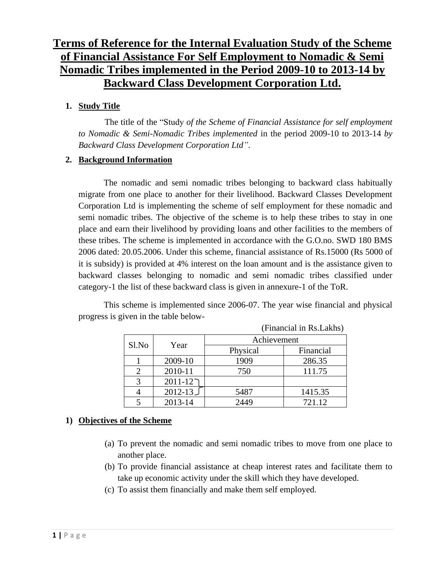# **Terms of Reference for the Internal Evaluation Study of the Scheme of Financial Assistance For Self Employment to Nomadic & Semi Nomadic Tribes implemented in the Period 2009-10 to 2013-14 by Backward Class Development Corporation Ltd.**

### **1. Study Title**

The title of the "Study *of the Scheme of Financial Assistance for self employment to Nomadic & Semi-Nomadic Tribes implemented* in the period 2009-10 to 2013-14 *by Backward Class Development Corporation Ltd"*.

### **2. Background Information**

The nomadic and semi nomadic tribes belonging to backward class habitually migrate from one place to another for their livelihood. Backward Classes Development Corporation Ltd is implementing the scheme of self employment for these nomadic and semi nomadic tribes. The objective of the scheme is to help these tribes to stay in one place and earn their livelihood by providing loans and other facilities to the members of these tribes. The scheme is implemented in accordance with the G.O.no. SWD 180 BMS 2006 dated: 20.05.2006. Under this scheme, financial assistance of Rs.15000 (Rs 5000 of it is subsidy) is provided at 4% interest on the loan amount and is the assistance given to backward classes belonging to nomadic and semi nomadic tribes classified under category-1 the list of these backward class is given in annexure-1 of the ToR.

This scheme is implemented since 2006-07. The year wise financial and physical progress is given in the table below-

(Financial in Rs.Lakhs)

| $\mathbf{1}$ manoral in residence, |             |             |           |  |  |  |  |
|------------------------------------|-------------|-------------|-----------|--|--|--|--|
| Sl.No                              | Year        | Achievement |           |  |  |  |  |
|                                    |             | Physical    | Financial |  |  |  |  |
|                                    | 2009-10     | 1909        | 286.35    |  |  |  |  |
|                                    | 2010-11     | 750         | 111.75    |  |  |  |  |
|                                    | $2011 - 12$ |             |           |  |  |  |  |
|                                    | $2012 - 13$ | 5487        | 1415.35   |  |  |  |  |
|                                    | 2013-14     | 2449        | 721.12    |  |  |  |  |

# **1) Objectives of the Scheme**

- (a) To prevent the nomadic and semi nomadic tribes to move from one place to another place.
- (b) To provide financial assistance at cheap interest rates and facilitate them to take up economic activity under the skill which they have developed.
- (c) To assist them financially and make them self employed.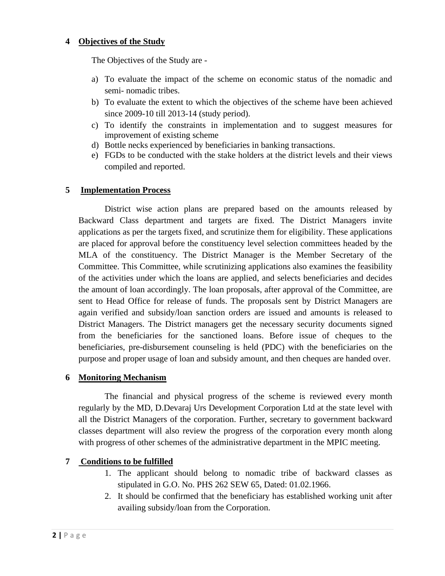#### **4 Objectives of the Study**

The Objectives of the Study are -

- a) To evaluate the impact of the scheme on economic status of the nomadic and semi- nomadic tribes.
- b) To evaluate the extent to which the objectives of the scheme have been achieved since 2009-10 till 2013-14 (study period).
- c) To identify the constraints in implementation and to suggest measures for improvement of existing scheme
- d) Bottle necks experienced by beneficiaries in banking transactions.
- e) FGDs to be conducted with the stake holders at the district levels and their views compiled and reported.

#### **5 Implementation Process**

District wise action plans are prepared based on the amounts released by Backward Class department and targets are fixed. The District Managers invite applications as per the targets fixed, and scrutinize them for eligibility. These applications are placed for approval before the constituency level selection committees headed by the MLA of the constituency. The District Manager is the Member Secretary of the Committee. This Committee, while scrutinizing applications also examines the feasibility of the activities under which the loans are applied, and selects beneficiaries and decides the amount of loan accordingly. The loan proposals, after approval of the Committee, are sent to Head Office for release of funds. The proposals sent by District Managers are again verified and subsidy/loan sanction orders are issued and amounts is released to District Managers. The District managers get the necessary security documents signed from the beneficiaries for the sanctioned loans. Before issue of cheques to the beneficiaries, pre-disbursement counseling is held (PDC) with the beneficiaries on the purpose and proper usage of loan and subsidy amount, and then cheques are handed over.

#### **6 Monitoring Mechanism**

The financial and physical progress of the scheme is reviewed every month regularly by the MD, D.Devaraj Urs Development Corporation Ltd at the state level with all the District Managers of the corporation. Further, secretary to government backward classes department will also review the progress of the corporation every month along with progress of other schemes of the administrative department in the MPIC meeting.

#### **7 Conditions to be fulfilled**

- 1. The applicant should belong to nomadic tribe of backward classes as stipulated in G.O. No. PHS 262 SEW 65, Dated: 01.02.1966.
- 2. It should be confirmed that the beneficiary has established working unit after availing subsidy/loan from the Corporation.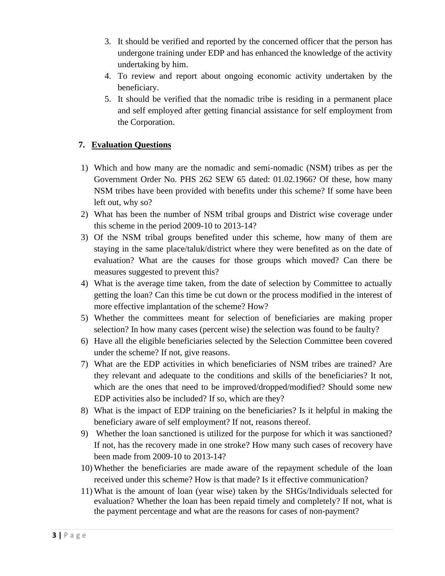- 3. It should be verified and reported by the concerned officer that the person has undergone training under EDP and has enhanced the knowledge of the activity undertaking by him.
- 4. To review and report about ongoing economic activity undertaken by the beneficiary.
- 5. It should be verified that the nomadic tribe is residing in a permanent place and self employed after getting financial assistance for self employment from the Corporation.

### **7. Evaluation Questions**

- 1) Which and how many are the nomadic and semi-nomadic (NSM) tribes as per the Government Order No. PHS 262 SEW 65 dated: 01.02.1966? Of these, how many NSM tribes have been provided with benefits under this scheme? If some have been left out, why so?
- 2) What has been the number of NSM tribal groups and District wise coverage under this scheme in the period 2009-10 to 2013-14?
- 3) Of the NSM tribal groups benefited under this scheme, how many of them are staying in the same place/taluk/district where they were benefited as on the date of evaluation? What are the causes for those groups which moved? Can there be measures suggested to prevent this?
- 4) What is the average time taken, from the date of selection by Committee to actually getting the loan? Can this time be cut down or the process modified in the interest of more effective implantation of the scheme? How?
- 5) Whether the committees meant for selection of beneficiaries are making proper selection? In how many cases (percent wise) the selection was found to be faulty?
- 6) Have all the eligible beneficiaries selected by the Selection Committee been covered under the scheme? If not, give reasons.
- 7) What are the EDP activities in which beneficiaries of NSM tribes are trained? Are they relevant and adequate to the conditions and skills of the beneficiaries? It not, which are the ones that need to be improved/dropped/modified? Should some new EDP activities also be included? If so, which are they?
- 8) What is the impact of EDP training on the beneficiaries? Is it helpful in making the beneficiary aware of self employment? If not, reasons thereof.
- 9) Whether the loan sanctioned is utilized for the purpose for which it was sanctioned? If not, has the recovery made in one stroke? How many such cases of recovery have been made from 2009-10 to 2013-14?
- 10) Whether the beneficiaries are made aware of the repayment schedule of the loan received under this scheme? How is that made? Is it effective communication?
- 11) What is the amount of loan (year wise) taken by the SHGs/Individuals selected for evaluation? Whether the loan has been repaid timely and completely? If not, what is the payment percentage and what are the reasons for cases of non-payment?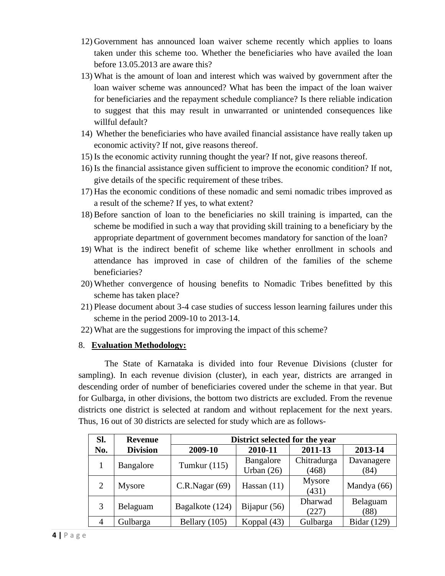- 12) Government has announced loan waiver scheme recently which applies to loans taken under this scheme too. Whether the beneficiaries who have availed the loan before 13.05.2013 are aware this?
- 13) What is the amount of loan and interest which was waived by government after the loan waiver scheme was announced? What has been the impact of the loan waiver for beneficiaries and the repayment schedule compliance? Is there reliable indication to suggest that this may result in unwarranted or unintended consequences like willful default?
- 14) Whether the beneficiaries who have availed financial assistance have really taken up economic activity? If not, give reasons thereof.
- 15) Is the economic activity running thought the year? If not, give reasons thereof.
- 16) Is the financial assistance given sufficient to improve the economic condition? If not, give details of the specific requirement of these tribes.
- 17) Has the economic conditions of these nomadic and semi nomadic tribes improved as a result of the scheme? If yes, to what extent?
- 18) Before sanction of loan to the beneficiaries no skill training is imparted, can the scheme be modified in such a way that providing skill training to a beneficiary by the appropriate department of government becomes mandatory for sanction of the loan?
- 19) What is the indirect benefit of scheme like whether enrollment in schools and attendance has improved in case of children of the families of the scheme beneficiaries?
- 20) Whether convergence of housing benefits to Nomadic Tribes benefitted by this scheme has taken place?
- 21) Please document about 3-4 case studies of success lesson learning failures under this scheme in the period 2009-10 to 2013-14.
- 22) What are the suggestions for improving the impact of this scheme?

#### 8. **Evaluation Methodology:**

The State of Karnataka is divided into four Revenue Divisions (cluster for sampling). In each revenue division (cluster), in each year, districts are arranged in descending order of number of beneficiaries covered under the scheme in that year. But for Gulbarga, in other divisions, the bottom two districts are excluded. From the revenue districts one district is selected at random and without replacement for the next years. Thus, 16 out of 30 districts are selected for study which are as follows-

| Sl. | <b>Revenue</b>  |                 | District selected for the year |                      |                    |  |  |  |  |
|-----|-----------------|-----------------|--------------------------------|----------------------|--------------------|--|--|--|--|
| No. | <b>Division</b> | 2009-10         | 2010-11                        | 2011-13              | 2013-14            |  |  |  |  |
|     | Bangalore       | Tumkur $(115)$  | Bangalore<br>Urban $(26)$      | Chitradurga<br>(468) | Davanagere<br>(84) |  |  |  |  |
| 2   | Mysore          | C.R.Nagar(69)   | Hassan $(11)$                  | Mysore<br>(431)      | Mandya (66)        |  |  |  |  |
| 3   | Belaguam        | Bagalkote (124) | Bijapur $(56)$                 | Dharwad<br>(227)     | Belaguam<br>(88)   |  |  |  |  |
| 4   | Gulbarga        | Bellary (105)   | Koppal (43)                    | Gulbarga             | Bidar (129)        |  |  |  |  |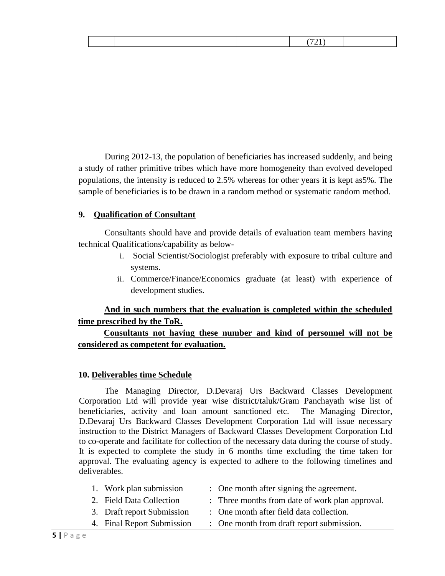|--|--|--|--|--|--|--|

During 2012-13, the population of beneficiaries has increased suddenly, and being a study of rather primitive tribes which have more homogeneity than evolved developed populations, the intensity is reduced to 2.5% whereas for other years it is kept as5%. The sample of beneficiaries is to be drawn in a random method or systematic random method.

#### **9. Qualification of Consultant**

Consultants should have and provide details of evaluation team members having technical Qualifications/capability as below-

- i. Social Scientist/Sociologist preferably with exposure to tribal culture and systems.
- ii. Commerce/Finance/Economics graduate (at least) with experience of development studies.

### **And in such numbers that the evaluation is completed within the scheduled time prescribed by the ToR.**

### **Consultants not having these number and kind of personnel will not be considered as competent for evaluation.**

#### **10. Deliverables time Schedule**

The Managing Director, D.Devaraj Urs Backward Classes Development Corporation Ltd will provide year wise district/taluk/Gram Panchayath wise list of beneficiaries, activity and loan amount sanctioned etc. The Managing Director, D.Devaraj Urs Backward Classes Development Corporation Ltd will issue necessary instruction to the District Managers of Backward Classes Development Corporation Ltd to co-operate and facilitate for collection of the necessary data during the course of study. It is expected to complete the study in 6 months time excluding the time taken for approval. The evaluating agency is expected to adhere to the following timelines and deliverables.

| 1. Work plan submission    | : One month after signing the agreement.        |
|----------------------------|-------------------------------------------------|
| 2. Field Data Collection   | : Three months from date of work plan approval. |
| 3. Draft report Submission | : One month after field data collection.        |

4. Final Report Submission : One month from draft report submission.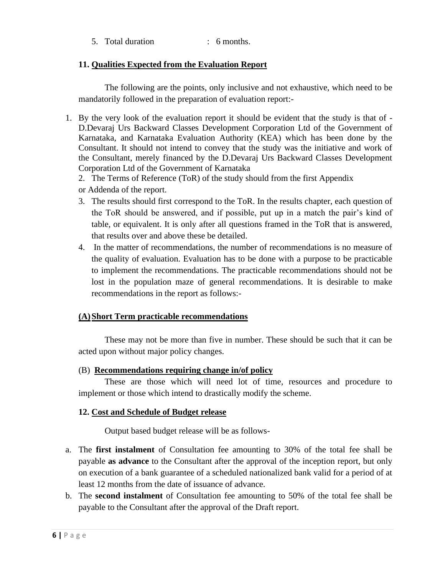|  |  | Total duration | 6 months. |
|--|--|----------------|-----------|
|--|--|----------------|-----------|

#### **11. Qualities Expected from the Evaluation Report**

The following are the points, only inclusive and not exhaustive, which need to be mandatorily followed in the preparation of evaluation report:-

- 1. By the very look of the evaluation report it should be evident that the study is that of D.Devaraj Urs Backward Classes Development Corporation Ltd of the Government of Karnataka, and Karnataka Evaluation Authority (KEA) which has been done by the Consultant. It should not intend to convey that the study was the initiative and work of the Consultant, merely financed by the D.Devaraj Urs Backward Classes Development Corporation Ltd of the Government of Karnataka
	- 2. The Terms of Reference (ToR) of the study should from the first Appendix
	- or Addenda of the report.
	- 3. The results should first correspond to the ToR. In the results chapter, each question of the ToR should be answered, and if possible, put up in a match the pair's kind of table, or equivalent. It is only after all questions framed in the ToR that is answered, that results over and above these be detailed.
	- 4. In the matter of recommendations, the number of recommendations is no measure of the quality of evaluation. Evaluation has to be done with a purpose to be practicable to implement the recommendations. The practicable recommendations should not be lost in the population maze of general recommendations. It is desirable to make recommendations in the report as follows:-

#### **(A)Short Term practicable recommendations**

These may not be more than five in number. These should be such that it can be acted upon without major policy changes.

#### (B) **Recommendations requiring change in/of policy**

These are those which will need lot of time, resources and procedure to implement or those which intend to drastically modify the scheme.

#### **12. Cost and Schedule of Budget release**

Output based budget release will be as follows-

- a. The **first instalment** of Consultation fee amounting to 30% of the total fee shall be payable **as advance** to the Consultant after the approval of the inception report, but only on execution of a bank guarantee of a scheduled nationalized bank valid for a period of at least 12 months from the date of issuance of advance.
- b. The **second instalment** of Consultation fee amounting to 50% of the total fee shall be payable to the Consultant after the approval of the Draft report.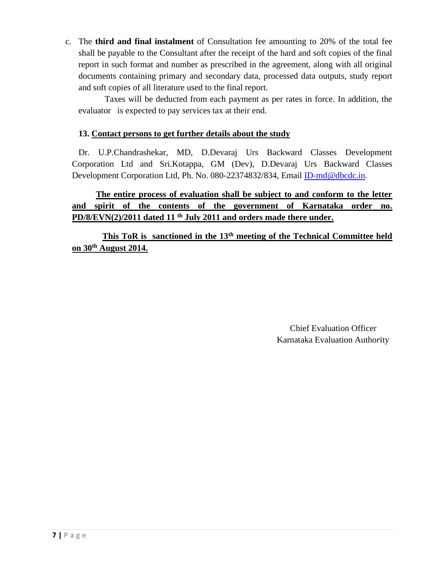c. The **third and final instalment** of Consultation fee amounting to 20% of the total fee shall be payable to the Consultant after the receipt of the hard and soft copies of the final report in such format and number as prescribed in the agreement, along with all original documents containing primary and secondary data, processed data outputs, study report and soft copies of all literature used to the final report.

Taxes will be deducted from each payment as per rates in force. In addition, the evaluator is expected to pay services tax at their end.

### **13. Contact persons to get further details about the study**

Dr. U.P.Chandrashekar, MD, D.Devaraj Urs Backward Classes Development Corporation Ltd and Sri.Kotappa, GM (Dev), D.Devaraj Urs Backward Classes Development Corporation Ltd, Ph. No. 080-22374832/834, Email [ID-md@dbcdc.in.](mailto:ID-md@dbcdc.in)

 **The entire process of evaluation shall be subject to and conform to the letter and spirit of the contents of the government of Karnataka order no. PD/8/EVN(2)/2011 dated 11 th July 2011 and orders made there under.**

 **This ToR is sanctioned in the 13th meeting of the Technical Committee held on 30th August 2014.**

> Chief Evaluation Officer Karnataka Evaluation Autho*r*ity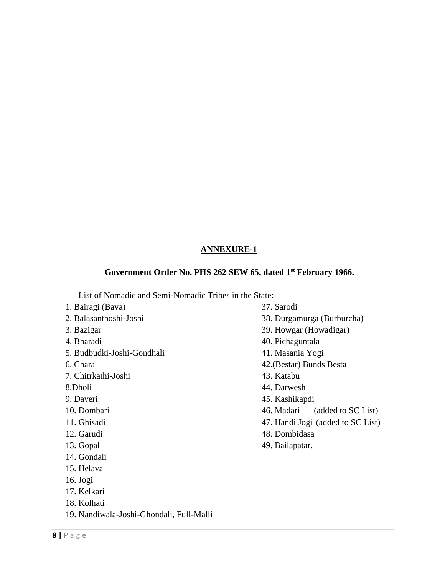# **ANNEXURE-1**

# **Government Order No. PHS 262 SEW 65, dated 1st February 1966.**

List of Nomadic and Semi-Nomadic Tribes in the State:<br>Bairasi (Baya)

| 1. Bairagi (Bava)                        | 37. Sarodi                        |
|------------------------------------------|-----------------------------------|
| 2. Balasanthoshi-Joshi                   | 38. Durgamurga (Burburcha)        |
| 3. Bazigar                               | 39. Howgar (Howadigar)            |
| 4. Bharadi                               | 40. Pichaguntala                  |
| 5. Budbudki-Joshi-Gondhali               | 41. Masania Yogi                  |
| 6. Chara                                 | 42. (Bestar) Bunds Besta          |
| 7. Chitrkathi-Joshi                      | 43. Katabu                        |
| 8.Dholi                                  | 44. Darwesh                       |
| 9. Daveri                                | 45. Kashikapdi                    |
| 10. Dombari                              | 46. Madari<br>(added to SC List)  |
| 11. Ghisadi                              | 47. Handi Jogi (added to SC List) |
| 12. Garudi                               | 48. Dombidasa                     |
| 13. Gopal                                | 49. Bailapatar.                   |
| 14. Gondali                              |                                   |
| 15. Helava                               |                                   |
| $16.$ Jogi                               |                                   |
| 17. Kelkari                              |                                   |
| 18. Kolhati                              |                                   |
| 19. Nandiwala-Joshi-Ghondali, Full-Malli |                                   |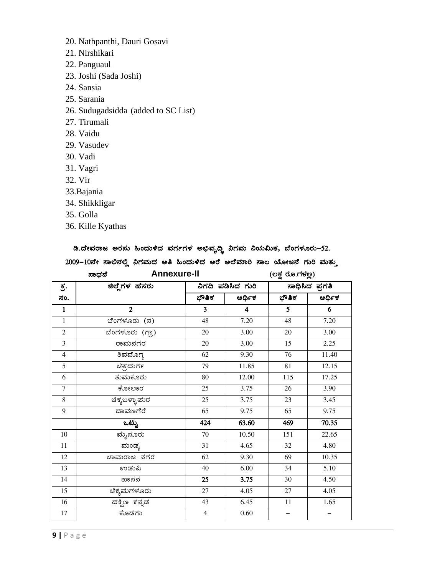- 20. Nathpanthi, Dauri Gosavi
- 21. Nirshikari
- 22. Panguaul
- 23. Joshi (Sada Joshi)
- 24. Sansia
- 25. Sarania
- 26. Sudugadsidda (added to SC List)
- 27. Tirumali
- 28. Vaidu
- 29. Vasudev
- 30. Vadi
- 31. Vagri
- 32. Vir
- 33.Bajania
- 34. Shikkligar
- 35. Golla
- 36. Kille Kyathas

### ಡಿ.ದೇವರಾಜ ಅರಸು ಹಿಂದುಳಿದ ವರ್ಗಗಳ ಅಭಿವೃದ್ಧಿ ನಿಗಮ ನಿಯಮಿತ, ಬೆಂಗಳೂರು–52.

# 2009-10ನೇ ಸಾಲಿನಲ್ಲಿ ನಿಗಮದ ಅತಿ ಹಿಂದುಳಿದ ಅರೆ ಅಲೆಮಾರಿ ಸಾಲ ಯೋಜನೆ ಗುರಿ ಮತ್ತು

|                | <b>Annexure-II</b><br>ಸಾಧನೆ |                |                         | (ಲಕ್ಷ ರೂ.ಗಳಲ್ಲ) |                |
|----------------|-----------------------------|----------------|-------------------------|-----------------|----------------|
| ಕ್ರ.           | ಜಿಲ್ಲೆಗಳ ಹೆಸರು              |                | ನಿಗದಿ ಪಡಿಸಿದ ಗುರಿ       |                 | ಸಾಧಿಸಿದ ಪ್ರಗತಿ |
| ಸಂ.            |                             | ಭೌತಿಕ          | ಆರ್ಥಿಕ                  | ಭೌತಿಕ           | ಆರ್ಥಿಕ         |
| $\mathbf{1}$   | $\overline{2}$              | 3              | $\overline{\mathbf{4}}$ | 5               | 6              |
| $\mathbf{1}$   | ಬೆಂಗಳೂರು (ನ)                | 48             | 7.20                    | 48              | 7.20           |
| $\overline{2}$ | ಬೆಂಗಳೂರು (ಗ್ರಾ)             | 20             | 3.00                    | 20              | 3.00           |
| $\overline{3}$ | ರಾಮನಗರ                      | 20             | 3.00                    | 15              | 2.25           |
| $\overline{4}$ | ಶಿವಮೊಗ್ಗ                    | 62             | 9.30                    | 76              | 11.40          |
| $\overline{5}$ | ಚಿತ್ರದುರ್ಗ                  | 79             | 11.85                   | 81              | 12.15          |
| 6              | ತುಮಕೂರು                     | 80             | 12.00                   | 115             | 17.25          |
| $\overline{7}$ | ಕೋಲಾರ                       | 25             | 3.75                    | 26              | 3.90           |
| $\,8\,$        | ಚಿಕ್ಕಬಳ್ಳಾಮರ                | 25             | 3.75                    | 23              | 3.45           |
| 9              | ದಾವಣಗೆರೆ                    | 65             | 9.75                    | 65              | 9.75           |
|                | $\overline{\text{e}}$ ಟ್ಟು  | 424            | 63.60                   | 469             | 70.35          |
| 10             | ಮೈಸೂರು                      | 70             | 10.50                   | 151             | 22.65          |
| 11             | ಮಂಡ್ಯ                       | 31             | 4.65                    | 32              | 4.80           |
| 12             | ಚಾಮರಾಜ ನಗರ                  | 62             | 9.30                    | 69              | 10.35          |
| 13             | ಉಡುಪಿ                       | 40             | 6.00                    | 34              | 5.10           |
| 14             | ಹಾಸನ                        | 25             | 3.75                    | 30              | 4.50           |
| 15             | ಚಿಕ್ಕಮಗಳೂರು                 | 27             | 4.05                    | 27              | 4.05           |
| 16             | ದಕ್ಷಿಣ ಕನ್ನಡ                | 43             | 6.45                    | $11\,$          | 1.65           |
| 17             | ಕೊಡಗು                       | $\overline{4}$ | 0.60                    |                 |                |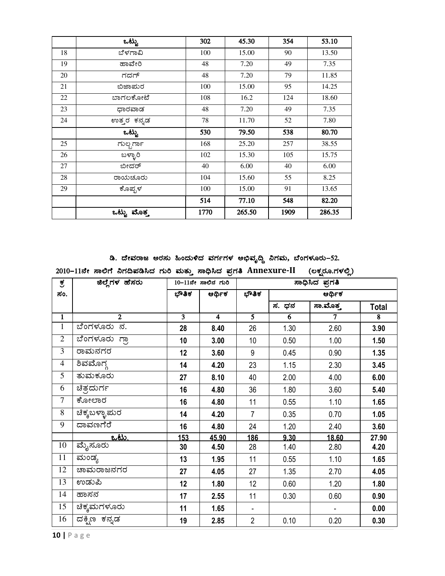|    | ಒಟ್ಟು       | 302  | 45.30  | 354  | 53.10  |
|----|-------------|------|--------|------|--------|
| 18 | ಬೆಳಗಾವಿ     | 100  | 15.00  | 90   | 13.50  |
| 19 | ಹಾವೇರಿ      | 48   | 7.20   | 49   | 7.35   |
| 20 | ಗದಗ್        | 48   | 7.20   | 79   | 11.85  |
| 21 | ಬಿಜಾಮರ      | 100  | 15.00  | 95   | 14.25  |
| 22 | ಬಾಗಲಕೋಟೆ    | 108  | 16.2   | 124  | 18.60  |
| 23 | ಧಾರವಾಡ      | 48   | 7.20   | 49   | 7.35   |
| 24 | ಉತ್ತರ ಕನ್ನಡ | 78   | 11.70  | 52   | 7.80   |
|    | ಒಟ್ಟು       | 530  | 79.50  | 538  | 80.70  |
| 25 | ಗುಲ್ಬರ್ಗಾ   | 168  | 25.20  | 257  | 38.55  |
| 26 | ಬಳ್ಳಾರಿ     | 102  | 15.30  | 105  | 15.75  |
| 27 | ಬೀದರ್       | 40   | 6.00   | 40   | 6.00   |
| 28 | ರಾಯಚೂರು     | 104  | 15.60  | 55   | 8.25   |
| 29 | ಕೊಪ್ಪಳ      | 100  | 15.00  | 91   | 13.65  |
|    |             | 514  | 77.10  | 548  | 82.20  |
|    | ಒಟ್ಟು ಮೊತ್ತ | 1770 | 265.50 | 1909 | 286.35 |

ಡಿ. ದೇವರಾಜ ಅರಸು ಹಿಂದುಳಿದ ವರ್ಗಗಳ ಅಭಿವೃದ್ಧಿ ನಿಗಮ, ಬೆಂಗಳೂರು–52.

2010-11ನೇ ಸಾಲಿಗೆ ನಿಗದಿಪಡಿಸಿದ ಗುರಿ ಮತ್ತು ಸಾಧಿಸಿದ ಪ್ರಗತಿ Annexure-II (ಲಕ್ಷರೂ.ಗಳಲ್ಲಿ)

| ಕ್ರ                     | ಜಿಲ್ಲೆಗಳ ಹೆಸರು             |       | 10-11ನೇ ಸಾಲಿನ ಗುರಿ |                | ಸಾಧಿಸಿದ ಪ್ರಗತಿ |               |                         |  |
|-------------------------|----------------------------|-------|--------------------|----------------|----------------|---------------|-------------------------|--|
| ಸಂ.                     |                            | ಭೌತಿಕ | ಆರ್ಥಿಕ             | ಭೌತಿಕ          |                |               |                         |  |
|                         |                            |       |                    |                | ಸ. ಧನ          | ಸಾ.ಮೊತ್ತ      | <b>Total</b>            |  |
| $\overline{1}$          | $\overline{2}$             | 3     | $\overline{4}$     | $\overline{5}$ | $\overline{6}$ | $\mathcal{I}$ | $\overline{\mathbf{8}}$ |  |
| $\mathbf{1}$            | ಬೆಂಗಳೂರು<br>ನ.             | 28    | 8.40               | 26             | 1.30           | 2.60          | 3.90                    |  |
| $\overline{2}$          | <mark>ಬೆಂಗಳೂರು ಗ್ರಾ</mark> | 10    | 3.00               | 10             | 0.50           | 1.00          | 1.50                    |  |
| $\overline{3}$          | ರಾಮನಗರ                     | 12    | 3.60               | 9              | 0.45           | 0.90          | 1.35                    |  |
| $\overline{\mathbf{4}}$ | ಶಿವಮೊಗ್                    | 14    | 4.20               | 23             | 1.15           | 2.30          | 3.45                    |  |
| $\overline{5}$          | ತುಮಕೂರು                    | 27    | 8.10               | 40             | 2.00           | 4.00          | 6.00                    |  |
| 6                       | ಚಿತ್ರದುರ್ಗ                 | 16    | 4.80               | 36             | 1.80           | 3.60          | 5.40                    |  |
| $\overline{7}$          | ಕೋಲಾರ                      | 16    | 4.80               | 11             | 0.55           | 1.10          | 1.65                    |  |
| 8                       | ಚಿಕ್ಕಬಳ್ಳಾಮರ               | 14    | 4.20               | $\overline{7}$ | 0.35           | 0.70          | 1.05                    |  |
| 9                       | ದಾವಣಗೆರೆ                   | 16    | 4.80               | 24             | 1.20           | 2.40          | 3.60                    |  |
|                         | <u>ಒಟು.</u>                | 153   | 45.90              | 186            | 9.30           | 18.60         | 27.90                   |  |
| 10                      | ಮೈಸೂರು                     | 30    | 4.50               | 28             | 1.40           | 2.80          | 4.20                    |  |
| 11                      | ಮಂಡ್ಯ                      | 13    | 1.95               | 11             | 0.55           | 1.10          | 1.65                    |  |
| $\overline{12}$         | ಚಾಮರಾಜನಗರ                  | 27    | 4.05               | 27             | 1.35           | 2.70          | 4.05                    |  |
| 13                      | ಉಡುಪಿ                      | 12    | 1.80               | 12             | 0.60           | 1.20          | 1.80                    |  |
| 14                      | ಹಾಸನ                       | 17    | 2.55               | 11             | 0.30           | 0.60          | 0.90                    |  |
| 15                      | ಚಿಕ್ಕಮಗಳೂರು                | 11    | 1.65               |                |                |               | 0.00                    |  |
| 16                      | ದಕ್ನಿಣ ಕನ್ನಡ               | 19    | 2.85               | $\overline{2}$ | 0.10           | 0.20          | 0.30                    |  |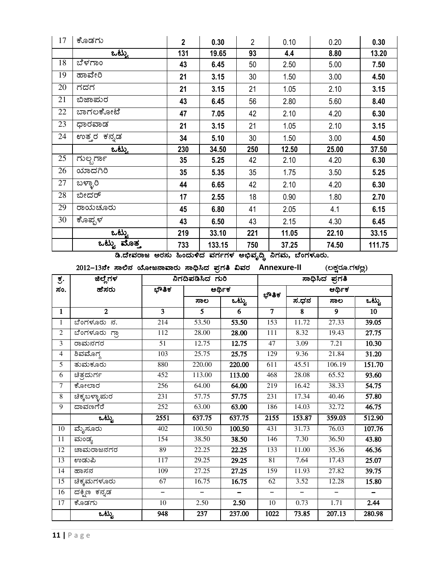|                 | ట                                                                        |                                                          |                  | 100.10                    |                |        |        |                         |  |  |  |  |
|-----------------|--------------------------------------------------------------------------|----------------------------------------------------------|------------------|---------------------------|----------------|--------|--------|-------------------------|--|--|--|--|
|                 |                                                                          | ಡಿ.ದೇವರಾಜ ಅರಸು ಹಿಂದುಳಿದ ವರ್ಗಗಳ ಅಭಿವೃದ್ಧಿ ನಿಗಮ, ಬೆಂಗಳೂರು. |                  |                           |                |        |        |                         |  |  |  |  |
|                 | 2012–13ನೇ ಸಾಲಿನ ಯೋಜನಾವಾರು ಸಾಧಿಸಿದ ಪ್ರಗತಿ ವಿವರ Annexure-II (ಲಕ್ಷರೂ.ಗಳಲ್ಲ) |                                                          |                  |                           |                |        |        |                         |  |  |  |  |
| <u>ਰ</u> .      | ಜಿಲ್ಲೆಗಳ                                                                 |                                                          | ನಿಗದಿಪಡಿಸಿದ ಗುರಿ |                           | ಸಾಧಿಸಿದ ಪ್ರಗತಿ |        |        |                         |  |  |  |  |
| ಸಂ.             | ಹೆಸರು                                                                    | ಭೌತಿಕ                                                    |                  | ಆರ್ಥಿಕ                    | ಭೌತಿಕ          |        | ಆರ್ಥಿಕ |                         |  |  |  |  |
|                 |                                                                          |                                                          | ಸಾಲ              | $\overline{\text{adv}}_a$ |                | ಸ.ಧನ   | ಸಾಲ    | $\overline{\text{adv}}$ |  |  |  |  |
| $\mathbf{1}$    | $\mathbf{2}$                                                             | 3                                                        | $5^{\circ}$      | 6                         | $\overline{7}$ | 8      | 9      | 10                      |  |  |  |  |
| $\mathbf{1}$    | ಬೆಂಗಳೂರು ನ.                                                              | 214                                                      | 53.50            | 53.50                     | 153            | 11.72  | 27.33  | 39.05                   |  |  |  |  |
| 2               | <u>ಬೆಂಗಳೂರು ಗ್ರ</u> ಾ                                                    | 112                                                      | 28.00            | 28.00                     | 111            | 8.32   | 19.43  | 27.75                   |  |  |  |  |
| 3               | ರಾಮನಗರ                                                                   | 51                                                       | 12.75            | 12.75                     | 47             | 3.09   | 7.21   | 10.30                   |  |  |  |  |
| 4               | ಶಿವಮೊಗ್ಗ                                                                 | 103                                                      | 25.75            | 25.75                     | 129            | 9.36   | 21.84  | 31.20                   |  |  |  |  |
| 5               | <u>ತುಮಕೂರು</u>                                                           | 880                                                      | 220.00           | 220.00                    | 611            | 45.51  | 106.19 | 151.70                  |  |  |  |  |
| 6               | ಚಿತ್ರದುರ್ಗ                                                               | 452                                                      | 113.00           | 113.00                    | 468            | 28.08  | 65.52  | 93.60                   |  |  |  |  |
| $\overline{7}$  | ಕೋಲಾರ                                                                    | 256                                                      | 64.00            | 64.00                     | 219            | 16.42  | 38.33  | 54.75                   |  |  |  |  |
| $8\,$           | <mark>ಚಿಕ್ಕಬಳ್ಳಾಪುರ</mark>                                               | 231                                                      | 57.75            | 57.75                     | 231            | 17.34  | 40.46  | 57.80                   |  |  |  |  |
| $\overline{9}$  | ದಾವಣಗೆರೆ                                                                 | 252                                                      | 63.00            | 63.00                     | 186            | 14.03  | 32.72  | 46.75                   |  |  |  |  |
|                 | ್ ಪಟ್ಟು<br>-                                                             | 2551                                                     | 637.75           | 637.75                    | 2155           | 153.87 | 359.03 | 512.90                  |  |  |  |  |
| 10              | ಮೈಸೂರು                                                                   | 402                                                      | 100.50           | 100.50                    | 431            | 31.73  | 76.03  | 107.76                  |  |  |  |  |
| 11              | ಮಂಡ್ಯ                                                                    | 154                                                      | 38.50            | 38.50                     | 146            | 7.30   | 36.50  | 43.80                   |  |  |  |  |
| 12              | ಚಾಮರಾಜನಗರ                                                                | 89                                                       | 22.25            | 22.25                     | 133            | 11.00  | 35.36  | 46.36                   |  |  |  |  |
| 13              | ಉಡುಪಿ                                                                    | 117                                                      | 29.25            | 29.25                     | 81             | 7.64   | 17.43  | 25.07                   |  |  |  |  |
| 14              | ಹಾಸನ                                                                     | 109                                                      | 27.25            | 27.25                     | 159            | 11.93  | 27.82  | 39.75                   |  |  |  |  |
| $\overline{15}$ | ಚಿಕ್ಕಮಗಳೂರು                                                              | 67                                                       | 16.75            | 16.75                     | 62             | 3.52   | 12.28  | 15.80                   |  |  |  |  |
| 16              | <mark>ದಕ್ಷಿಣ ಕನ್ನಡ</mark>                                                | $\equiv$                                                 |                  |                           | -              | -      |        |                         |  |  |  |  |
| 17              | ಕೊಡಗು                                                                    | 10                                                       | 2.50             | 2.50                      | 10             | 0.73   | 1.71   | 2.44                    |  |  |  |  |
|                 | $\overline{\omega}$ ಟ್ಟು                                                 | 948                                                      | 237              | 237.00                    | 1022           | 73.85  | 207.13 | 280.98                  |  |  |  |  |
|                 |                                                                          |                                                          |                  |                           |                |        |        |                         |  |  |  |  |

|    | $\overline{$ ಒಟ್ಟು | 131 | 19.65           | 93                | 4.4             | 8.80  | 13.20  |
|----|--------------------|-----|-----------------|-------------------|-----------------|-------|--------|
| 18 | ಪೌಳಗಾಂ             | 43  | 6.45            | 50                | 2.50            | 5.00  | 7.50   |
| 19 | ಹಾವೇರಿ             | 21  | 3.15            | 30                | 1.50            | 3.00  | 4.50   |
| 20 | ಗದಗ                | 21  | 3.15            | 21                | 1.05            | 2.10  | 3.15   |
| 21 | ಬಿಜಾಮರ             | 43  | 6.45            | 56                | 2.80            | 5.60  | 8.40   |
| 22 | ಬಾಗಲಕೋಟೆ           | 47  | 7.05            | 42                | 2.10            | 4.20  | 6.30   |
| 23 | ಧಾರವಾಡ             | 21  | 3.15            | 21                | 1.05            | 2.10  | 3.15   |
| 24 | ಉತ್ತರ ಕನ್ನಡ        | 34  | 5.10            | 30                | 1.50            | 3.00  | 4.50   |
|    | ಒಟ್ಟು              | 230 | 34.50           | 250               | 12.50           | 25.00 | 37.50  |
| 25 | ಗುಲ್ಬರ್ಗಾ          | 35  | 5.25            | 42                | 2.10            | 4.20  | 6.30   |
| 26 | ಯಾದಗಿರಿ            | 35  | 5.35            | 35                | 1.75            | 3.50  | 5.25   |
| 27 | ಬಳ್ಳಾರಿ            | 44  | 6.65            | 42                | 2.10            | 4.20  | 6.30   |
| 28 | ಬೀದರ್              | 17  | 2.55            | 18                | 0.90            | 1.80  | 2.70   |
| 29 | ರಾಯಚೂರು            | 45  | 6.80            | 41                | 2.05            | 4.1   | 6.15   |
| 30 | ಕೊಪ್ಪಳ             | 43  | 6.50            | 43                | 2.15            | 4.30  | 6.45   |
|    | <u>ಒಟ್ಟು</u>       | 219 | 33.10           | 221               | 11.05           | 22.10 | 33.15  |
|    | ಒಟ್ಟು ಮೊತ್ತ        | 733 | 133.15          | 750               | 37.25           | 74.50 | 111.75 |
|    | ಡಿ.ದೇವರಾಜ<br>ಅರಸು  |     | ಹಿಂದುಳಿದ ವರ್ಗಗಳ | <u>ಅಭಿವೃ</u> ದ್ಧಿ | ನಿಗಮ, ಬೆಂಗಳೂರು. |       |        |

PÉÆqÀUÀÄ **<sup>2</sup> 0.30** <sup>2</sup> 0.10 0.20 **0.30**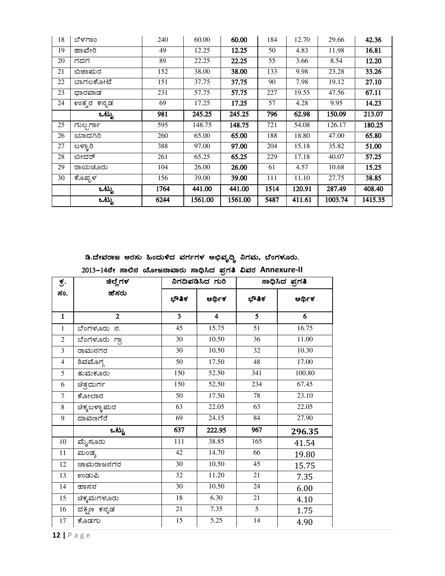| 18 | ಬೆಳಗಾಂ      | 240  | 60.00   | 60.00   | 184  | 12.70  | 29.66   | 42.36   |
|----|-------------|------|---------|---------|------|--------|---------|---------|
| 19 | ಹಾವೇರಿ      | 49   | 12.25   | 12.25   | 50   | 4.83   | 11.98   | 16.81   |
| 20 | ಗದಗ         | 89   | 22.25   | 22.25   | 55   | 3.66   | 8.54    | 12.20   |
| 21 | ಬಿಜಾಮರ      | 152  | 38.00   | 38.00   | 133  | 9.98   | 23.28   | 33.26   |
| 22 | ಬಾಗಲಕೋಟೆ    | 151  | 37.75   | 37.75   | 90   | 7.98   | 19.12   | 27.10   |
| 23 | ಧಾರವಾಡ      | 231  | 57.75   | 57.75   | 227  | 19.55  | 47.56   | 67.11   |
| 24 | ಉತ್ತರ ಕನ್ನಡ | 69   | 17.25   | 17.25   | 57   | 4.28   | 9.95    | 14.23   |
|    | ಒಟ್ಟು       | 981  | 245.25  | 245.25  | 796  | 62.98  | 150.09  | 213.07  |
| 25 | ಗುಲ್ಬರ್ಗಾ   | 595  | 148.75  | 148.75  | 721  | 54.08  | 126.17  | 180.25  |
| 26 | ಯಾದಗಿರಿ     | 260  | 65.00   | 65.00   | 188  | 18.80  | 47.00   | 65.80   |
| 27 | ಬಳ್ಳಾರಿ     | 388  | 97.00   | 97.00   | 204  | 15.18  | 35.82   | 51.00   |
| 28 | ಬೀದರ್       | 261  | 65.25   | 65.25   | 229  | 17.18  | 40.07   | 57.25   |
| 29 | ರಾಯಚೂರು     | 104  | 26.00   | 26.00   | 61   | 4.57   | 10.68   | 15.25   |
| 30 | ಕೊಪ್ಪಳ      | 156  | 39.00   | 39.00   | 111  | 11.10  | 27.75   | 38.85   |
|    | ಒಟ್ಟು       | 1764 | 441.00  | 441.00  | 1514 | 120.91 | 287.49  | 408.40  |
|    | ಒಟ್ಟು       | 6244 | 1561.00 | 1561.00 | 5487 | 411.61 | 1003.74 | 1415.35 |

ಡಿ.ದೇವರಾಜ ಅರಸು ಹಿಂದುಳಿದ ವರ್ಗಗಳ ಅಭಿವೃದ್ಧಿ ನಿಗಮ, ಬೆಂಗಳೂರು.

|  | 2013–14ನೇ ಸಾಲಿನ ಯೋಜನಾವಾರು ಸಾಧಿಸಿದ ಪ್ರಗತಿ ವಿವರ Annexure-II |  |  |
|--|-----------------------------------------------------------|--|--|

| ಕ್ರ.           | ಜಿಲ್ಲೆಗಳ        | ನಿಗದಿಪಡಿಸಿದ ಗುರಿ |                         | ಸಾಧಿಸಿದ ಪ್ರಗತಿ  |        |
|----------------|-----------------|------------------|-------------------------|-----------------|--------|
| ಸಂ.            | ಹೆಸರು           | ಭೌತಿಕ            | ಆರ್ಥಿಕ                  | ಭೌತಿಕ           | ಆರ್ಥಿಕ |
| $\mathbf{1}$   | $\mathbf{2}$    | 3                | $\overline{\mathbf{4}}$ | 5               | 6      |
| $\mathbf{1}$   | ಬೆಂಗಳೂರು ನ.     | 45               | 15.75                   | 51              | 16.75  |
| $\overline{2}$ | ಪೆಂಗಳೂರು ಗ್ರಾ   | 30               | 10.50                   | 36              | 11.00  |
| 3              | ರಾಮನಗರ          | 30               | 10.50                   | 32              | 10.30  |
| $\overline{4}$ | ಶಿವಮೊಗ್ಗ        | 50               | 17.50                   | 48              | 17.00  |
| 5              | <u>ತುಮ</u> ಕೂರು | 150              | 52.50                   | 341             | 100.80 |
| 6              | ಚಿತ್ರದುರ್ಗ      | 150              | 52.50                   | 234             | 67.45  |
| $\overline{7}$ | ಕೋಲಾರ           | 50               | 17.50                   | 78              | 23.10  |
| 8              | ಚಿಕ್ಕಬಳ್ಳಾಪುರ   | 63               | 22.05                   | 63              | 22.05  |
| 9              | ದಾವಣಗೆರೆ        | 69               | 24.15                   | 84              | 27.90  |
|                | ಒಟ್ಟು           | 637              | 222.95                  | 967             | 296.35 |
| $10\,$         | ಮೈಸೂರು          | 111              | 38.85                   | 165             | 41.54  |
| 11             | ಮಂಡ್ಯ           | 42               | 14.70                   | 66              | 19.80  |
| 12             | ಚಾಮರಾಜನಗರ       | 30               | 10.50                   | 45              | 15.75  |
| 13             | ಉಡುಪಿ           | 32               | 11.20                   | $21\,$          | 7.35   |
| 14             | ಹಾಸನ            | 30               | 10.50                   | 24              | 6.00   |
| 15             | ಚಿಕ್ಕಮಗಳೂರು     | 18               | 6.30                    | 21              | 4.10   |
| 16             | ದಕ್ಷಿಣ ಕನ್ನಡ    | 21               | 7.35                    | 5               | 1.75   |
| 17             | ಕೊಡಗು           | $\overline{15}$  | 5.25                    | $\overline{14}$ | 4.90   |